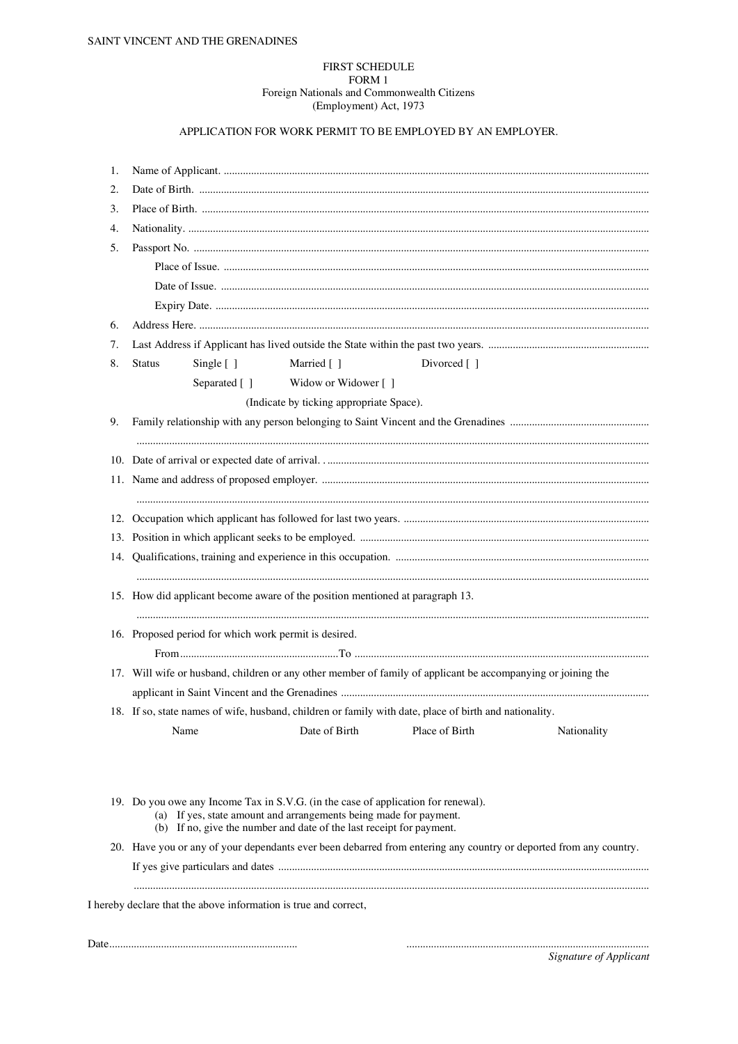## **FIRST SCHEDULE** FORM 1 Foreign Nationals and Commonwealth Citizens (Employment) Act, 1973

## APPLICATION FOR WORK PERMIT TO BE EMPLOYED BY AN EMPLOYER.

| 1. |                                                                                                              |              |                                                                                                                                           |                             |                                                                                                                   |  |
|----|--------------------------------------------------------------------------------------------------------------|--------------|-------------------------------------------------------------------------------------------------------------------------------------------|-----------------------------|-------------------------------------------------------------------------------------------------------------------|--|
| 2. |                                                                                                              |              |                                                                                                                                           |                             |                                                                                                                   |  |
| 3. |                                                                                                              |              |                                                                                                                                           |                             |                                                                                                                   |  |
| 4. |                                                                                                              |              |                                                                                                                                           |                             |                                                                                                                   |  |
| 5. |                                                                                                              |              |                                                                                                                                           |                             |                                                                                                                   |  |
|    |                                                                                                              |              |                                                                                                                                           |                             |                                                                                                                   |  |
|    |                                                                                                              |              |                                                                                                                                           |                             |                                                                                                                   |  |
|    |                                                                                                              |              |                                                                                                                                           |                             |                                                                                                                   |  |
| 6. |                                                                                                              |              |                                                                                                                                           |                             |                                                                                                                   |  |
| 7. |                                                                                                              |              |                                                                                                                                           |                             |                                                                                                                   |  |
| 8. | <b>Status</b>                                                                                                | Single [ ]   | Married []                                                                                                                                | Divorced $\lceil \; \rceil$ |                                                                                                                   |  |
|    |                                                                                                              | Separated [] | Widow or Widower [ ]                                                                                                                      |                             |                                                                                                                   |  |
|    |                                                                                                              |              | (Indicate by ticking appropriate Space).                                                                                                  |                             |                                                                                                                   |  |
| 9. |                                                                                                              |              |                                                                                                                                           |                             |                                                                                                                   |  |
|    |                                                                                                              |              |                                                                                                                                           |                             |                                                                                                                   |  |
|    |                                                                                                              |              |                                                                                                                                           |                             |                                                                                                                   |  |
|    |                                                                                                              |              |                                                                                                                                           |                             |                                                                                                                   |  |
|    |                                                                                                              |              |                                                                                                                                           |                             |                                                                                                                   |  |
|    |                                                                                                              |              |                                                                                                                                           |                             |                                                                                                                   |  |
|    |                                                                                                              |              |                                                                                                                                           |                             |                                                                                                                   |  |
|    |                                                                                                              |              |                                                                                                                                           |                             |                                                                                                                   |  |
|    |                                                                                                              |              |                                                                                                                                           |                             |                                                                                                                   |  |
|    |                                                                                                              |              | 15. How did applicant become aware of the position mentioned at paragraph 13.                                                             |                             |                                                                                                                   |  |
|    |                                                                                                              |              |                                                                                                                                           |                             |                                                                                                                   |  |
|    | 16. Proposed period for which work permit is desired.                                                        |              |                                                                                                                                           |                             |                                                                                                                   |  |
|    |                                                                                                              |              |                                                                                                                                           |                             |                                                                                                                   |  |
|    | 17. Will wife or husband, children or any other member of family of applicant be accompanying or joining the |              |                                                                                                                                           |                             |                                                                                                                   |  |
|    |                                                                                                              |              |                                                                                                                                           |                             |                                                                                                                   |  |
|    | 18. If so, state names of wife, husband, children or family with date, place of birth and nationality.       |              |                                                                                                                                           |                             |                                                                                                                   |  |
|    |                                                                                                              | Name         | Date of Birth                                                                                                                             | Place of Birth              | Nationality                                                                                                       |  |
|    |                                                                                                              |              |                                                                                                                                           |                             |                                                                                                                   |  |
|    |                                                                                                              |              | 19. Do you owe any Income Tax in S.V.G. (in the case of application for renewal).                                                         |                             |                                                                                                                   |  |
|    |                                                                                                              |              | (a) If yes, state amount and arrangements being made for payment.<br>(b) If no, give the number and date of the last receipt for payment. |                             |                                                                                                                   |  |
|    |                                                                                                              |              |                                                                                                                                           |                             | 20. Have you or any of your dependants ever been debarred from entering any country or deported from any country. |  |
|    |                                                                                                              |              |                                                                                                                                           |                             |                                                                                                                   |  |

Signature of Applicant

 $\begin{minipage}{0.5\textwidth} \begin{tabular}{|c|c|c|c|} \hline \multicolumn{1}{|c|}{0.5\textwidth} \begin{tabular}{|c|c|c|} \hline \multicolumn{1}{|c|}{0.5\textwidth} \begin{tabular}{|c|c|c|} \hline \multicolumn{1}{|c|}{0.5\textwidth} \begin{tabular}{|c|c|c|} \hline \multicolumn{1}{|c|}{0.5\textwidth} \begin{tabular}{|c|c|c|} \hline \multicolumn{1}{|c|}{0.5\textwidth} \begin{tabular}{|c|c|c|} \hline \multicolumn{1}{|c|}{0$